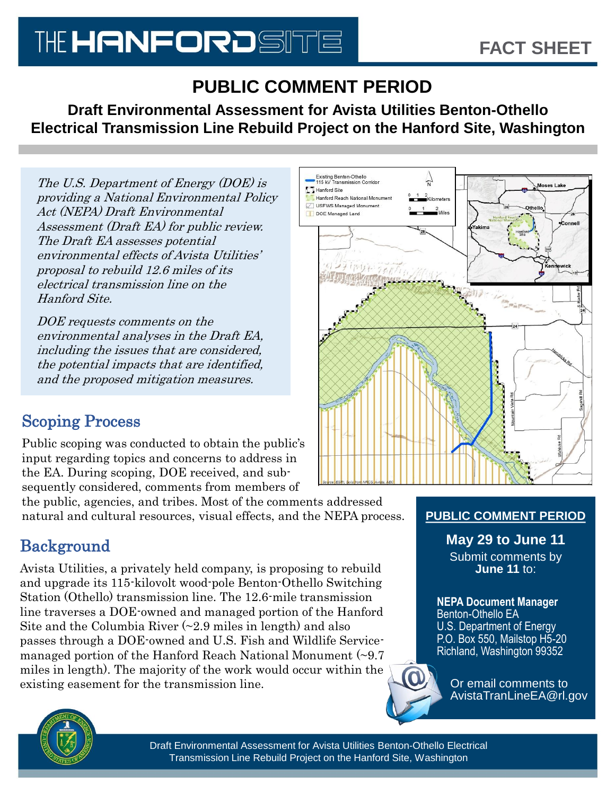# THE HANFORDSITE

## **PUBLIC COMMENT PERIOD**

**Draft Environmental Assessment for Avista Utilities Benton-Othello Electrical Transmission Line Rebuild Project on the Hanford Site, Washington** 

The U.S. Department of Energy (DOE) is providing a National Environmental Policy Act (NEPA) Draft Environmental Assessment (Draft EA) for public review. The Draft EA assesses potential environmental effects of Avista Utilities' proposal to rebuild 12.6 miles of its electrical transmission line on the Hanford Site.

DOE requests comments on the environmental analyses in the Draft EA, including the issues that are considered, the potential impacts that are identified, and the proposed mitigation measures.

## Scoping Process

Public scoping was conducted to obtain the public's input regarding topics and concerns to address in the EA. During scoping, DOE received, and subsequently considered, comments from members of

the public, agencies, and tribes. Most of the comments addressed natural and cultural resources, visual effects, and the NEPA process.

## Background

Avista Utilities, a privately held company, is proposing to rebuild and upgrade its 115-kilovolt wood-pole Benton-Othello Switching Station (Othello) transmission line. The 12.6-mile transmission line traverses a DOE-owned and managed portion of the Hanford Site and the Columbia River  $\left(\sim 2.9 \text{ miles in length}\right)$  and also passes through a DOE-owned and U.S. Fish and Wildlife Servicemanaged portion of the Hanford Reach National Monument (~9.7 miles in length). The majority of the work would occur within the existing easement for the transmission line.



#### **PUBLIC COMMENT PERIOD**

**May 29 to June 11**  Submit comments by

**June 11** to:

**NEPA Document Manager**  Benton-Othello EA U.S. Department of Energy P.O. Box 550, Mailstop H5-20 Richland, Washington 99352



Or email comments to AvistaTranLineEA@rl.gov